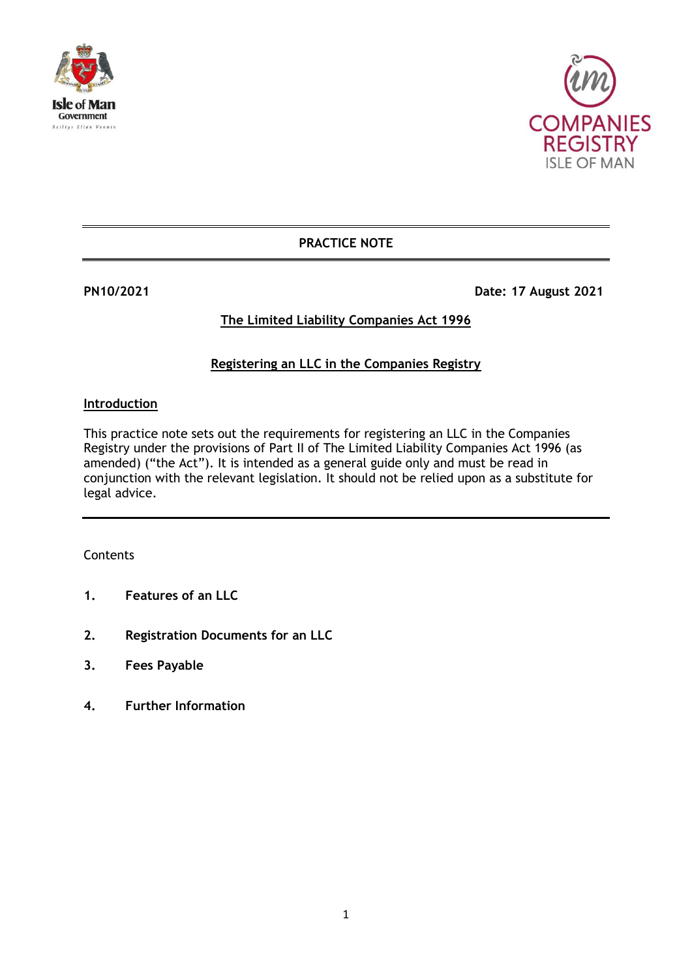



# **PRACTICE NOTE**

**PN10/2021 Date: 17 August 2021** 

# **The Limited Liability Companies Act 1996**

# **Registering an LLC in the Companies Registry**

#### **Introduction**

This practice note sets out the requirements for registering an LLC in the Companies Registry under the provisions of Part II of The Limited Liability Companies Act 1996 (as amended) ("the Act"). It is intended as a general guide only and must be read in conjunction with the relevant legislation. It should not be relied upon as a substitute for legal advice.

#### **Contents**

- **1. Features of an LLC**
- **2. Registration Documents for an LLC**
- **3. Fees Payable**
- **4. Further Information**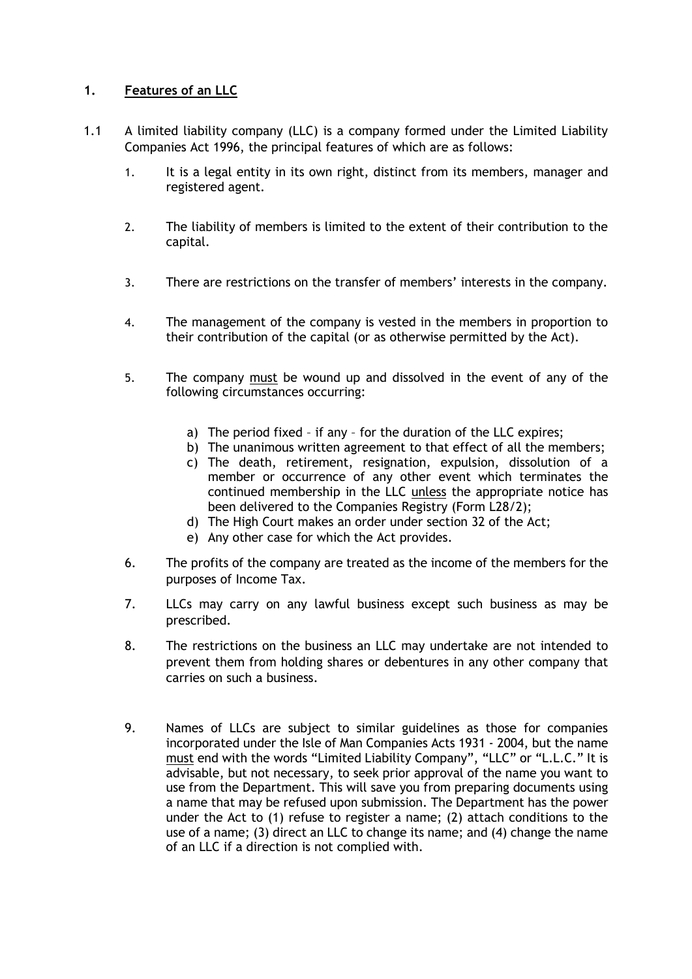## **1. Features of an LLC**

- 1.1 A limited liability company (LLC) is a company formed under the Limited Liability Companies Act 1996, the principal features of which are as follows:
	- 1. It is a legal entity in its own right, distinct from its members, manager and registered agent.
	- 2. The liability of members is limited to the extent of their contribution to the capital.
	- 3. There are restrictions on the transfer of members' interests in the company.
	- 4. The management of the company is vested in the members in proportion to their contribution of the capital (or as otherwise permitted by the Act).
	- 5. The company must be wound up and dissolved in the event of any of the following circumstances occurring:
		- a) The period fixed if any for the duration of the LLC expires;
		- b) The unanimous written agreement to that effect of all the members;
		- c) The death, retirement, resignation, expulsion, dissolution of a member or occurrence of any other event which terminates the continued membership in the LLC unless the appropriate notice has been delivered to the Companies Registry (Form L28/2);
		- d) The High Court makes an order under section 32 of the Act;
		- e) Any other case for which the Act provides.
	- 6. The profits of the company are treated as the income of the members for the purposes of Income Tax.
	- 7. LLCs may carry on any lawful business except such business as may be prescribed.
	- 8. The restrictions on the business an LLC may undertake are not intended to prevent them from holding shares or debentures in any other company that carries on such a business.
	- 9. Names of LLCs are subject to similar guidelines as those for companies incorporated under the Isle of Man Companies Acts 1931 - 2004, but the name must end with the words "Limited Liability Company", "LLC" or "L.L.C." It is advisable, but not necessary, to seek prior approval of the name you want to use from the Department. This will save you from preparing documents using a name that may be refused upon submission. The Department has the power under the Act to (1) refuse to register a name; (2) attach conditions to the use of a name; (3) direct an LLC to change its name; and (4) change the name of an LLC if a direction is not complied with.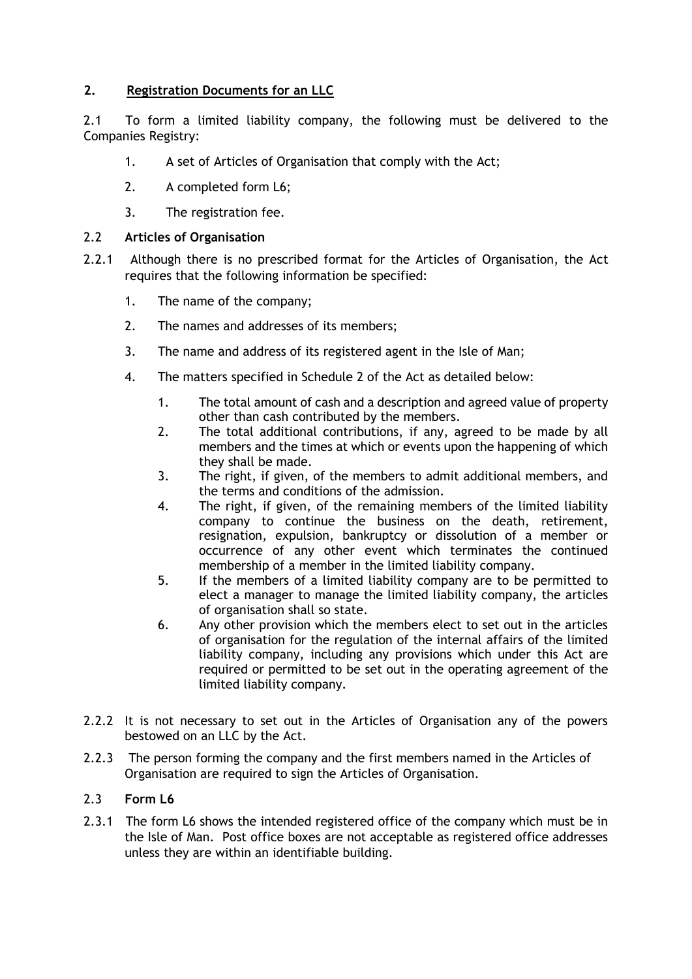## **2. Registration Documents for an LLC**

2.1 To form a limited liability company, the following must be delivered to the Companies Registry:

- 1. A set of Articles of Organisation that comply with the Act;
- 2. A completed form L6;
- 3. The registration fee.

#### 2.2 **Articles of Organisation**

- 2.2.1 Although there is no prescribed format for the Articles of Organisation, the Act requires that the following information be specified:
	- 1. The name of the company;
	- 2. The names and addresses of its members;
	- 3. The name and address of its registered agent in the Isle of Man;
	- 4. The matters specified in Schedule 2 of the Act as detailed below:
		- 1. The total amount of cash and a description and agreed value of property other than cash contributed by the members.
		- 2. The total additional contributions, if any, agreed to be made by all members and the times at which or events upon the happening of which they shall be made.
		- 3. The right, if given, of the members to admit additional members, and the terms and conditions of the admission.
		- 4. The right, if given, of the remaining members of the limited liability company to continue the business on the death, retirement, resignation, expulsion, bankruptcy or dissolution of a member or occurrence of any other event which terminates the continued membership of a member in the limited liability company.
		- 5. If the members of a limited liability company are to be permitted to elect a manager to manage the limited liability company, the articles of organisation shall so state.
		- 6. Any other provision which the members elect to set out in the articles of organisation for the regulation of the internal affairs of the limited liability company, including any provisions which under this Act are required or permitted to be set out in the operating agreement of the limited liability company.
- 2.2.2 It is not necessary to set out in the Articles of Organisation any of the powers bestowed on an LLC by the Act.
- 2.2.3 The person forming the company and the first members named in the Articles of Organisation are required to sign the Articles of Organisation.

## 2.3 **Form L6**

2.3.1 The form L6 shows the intended registered office of the company which must be in the Isle of Man. Post office boxes are not acceptable as registered office addresses unless they are within an identifiable building.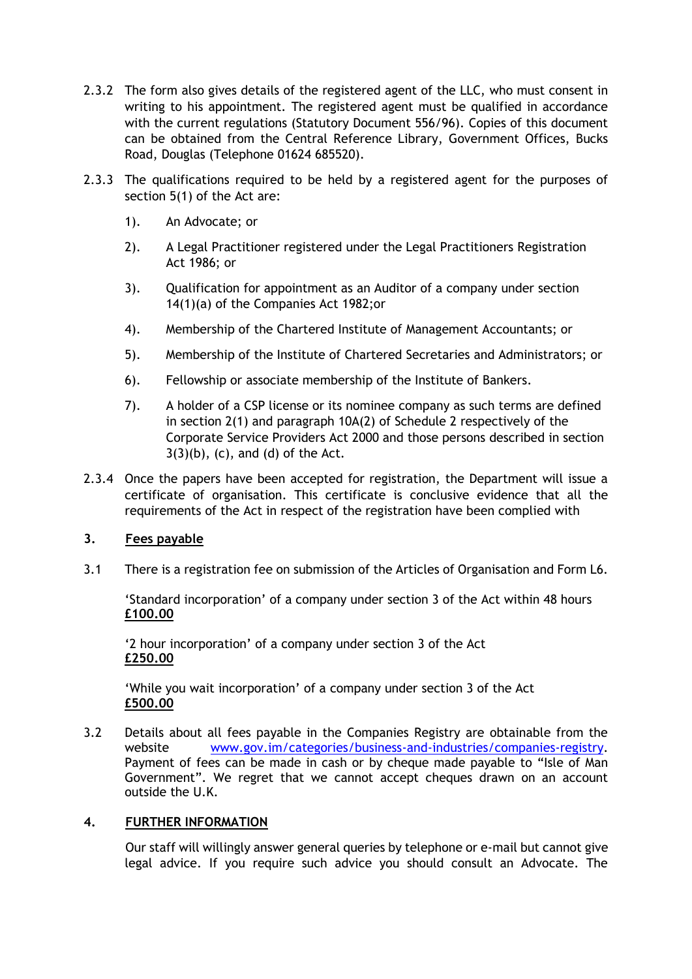- 2.3.2 The form also gives details of the registered agent of the LLC, who must consent in writing to his appointment. The registered agent must be qualified in accordance with the current regulations (Statutory Document 556/96). Copies of this document can be obtained from the Central Reference Library, Government Offices, Bucks Road, Douglas (Telephone 01624 685520).
- 2.3.3 The qualifications required to be held by a registered agent for the purposes of section 5(1) of the Act are:
	- 1). An Advocate; or
	- 2). A Legal Practitioner registered under the Legal Practitioners Registration Act 1986; or
	- 3). Qualification for appointment as an Auditor of a company under section 14(1)(a) of the Companies Act 1982;or
	- 4). Membership of the Chartered Institute of Management Accountants; or
	- 5). Membership of the Institute of Chartered Secretaries and Administrators; or
	- 6). Fellowship or associate membership of the Institute of Bankers.
	- 7). A holder of a CSP license or its nominee company as such terms are defined in section 2(1) and paragraph 10A(2) of Schedule 2 respectively of the Corporate Service Providers Act 2000 and those persons described in section  $3(3)(b)$ ,  $(c)$ , and  $(d)$  of the Act.
- 2.3.4 Once the papers have been accepted for registration, the Department will issue a certificate of organisation. This certificate is conclusive evidence that all the requirements of the Act in respect of the registration have been complied with

## **3. Fees payable**

3.1 There is a registration fee on submission of the Articles of Organisation and Form L6.

'Standard incorporation' of a company under section 3 of the Act within 48 hours **£100.00**

'2 hour incorporation' of a company under section 3 of the Act **£250.00**

'While you wait incorporation' of a company under section 3 of the Act **£500.00**

3.2 Details about all fees payable in the Companies Registry are obtainable from the website [www.gov.im/categories/business-and-industries/companies-registry.](http://www.gov.im/categories/business-and-industries/companies-registry) Payment of fees can be made in cash or by cheque made payable to "Isle of Man Government". We regret that we cannot accept cheques drawn on an account outside the U.K.

#### **4. FURTHER INFORMATION**

Our staff will willingly answer general queries by telephone or e-mail but cannot give legal advice. If you require such advice you should consult an Advocate. The